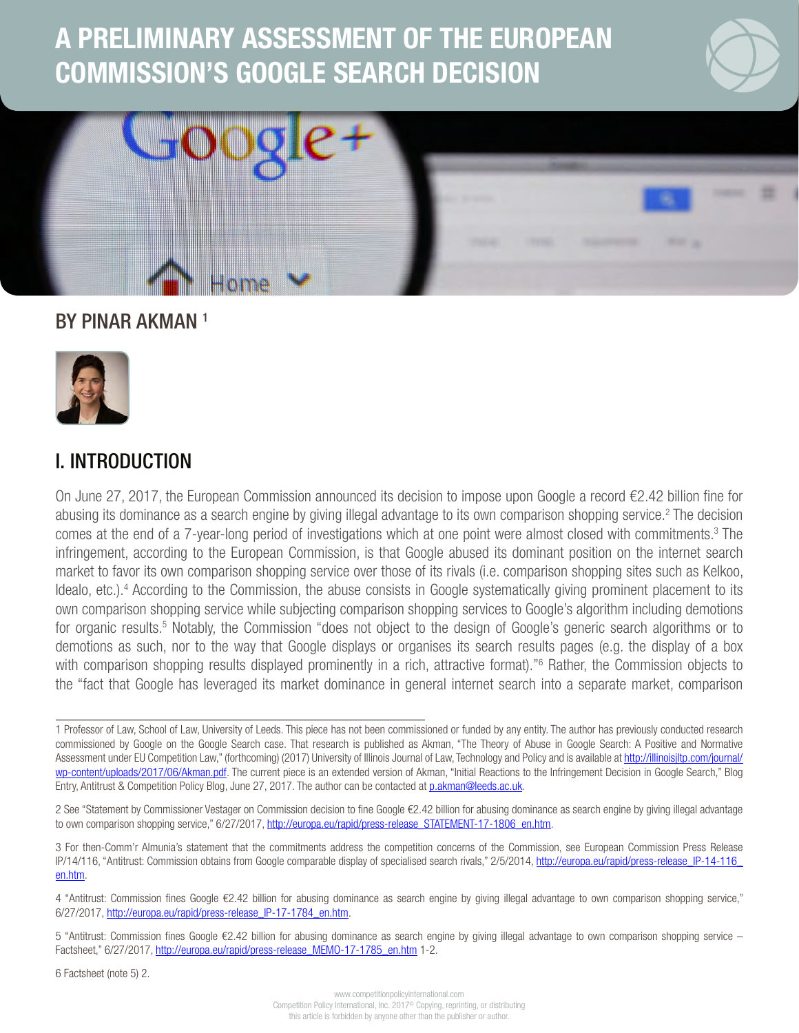# A PRELIMINARY ASSESSMENT OF THE EUROPEAN COMMISSION'S GOOGLE SEARCH DECISION



1

#### BY PINAR AKMAN 1



#### I. INTRODUCTION

On June 27, 2017, the European Commission announced its decision to impose upon Google a record €2.42 billion fine for abusing its dominance as a search engine by giving illegal advantage to its own comparison shopping service.<sup>2</sup> The decision comes at the end of a 7-year-long period of investigations which at one point were almost closed with commitments.<sup>3</sup> The infringement, according to the European Commission, is that Google abused its dominant position on the internet search market to favor its own comparison shopping service over those of its rivals (i.e. comparison shopping sites such as Kelkoo, Idealo, etc.).<sup>4</sup> According to the Commission, the abuse consists in Google systematically giving prominent placement to its own comparison shopping service while subjecting comparison shopping services to Google's algorithm including demotions for organic results.<sup>5</sup> Notably, the Commission "does not object to the design of Google's generic search algorithms or to demotions as such, nor to the way that Google displays or organises its search results pages (e.g. the display of a box with comparison shopping results displayed prominently in a rich, attractive format)."<sup>6</sup> Rather, the Commission objects to the "fact that Google has leveraged its market dominance in general internet search into a separate market, comparison

6 Factsheet (note 5) 2.

<sup>1</sup> Professor of Law, School of Law, University of Leeds. This piece has not been commissioned or funded by any entity. The author has previously conducted research commissioned by Google on the Google Search case. That research is published as Akman, "The Theory of Abuse in Google Search: A Positive and Normative Assessment under EU Competition Law," (forthcoming) (2017) University of Illinois Journal of Law, Technology and Policy and is available at http://illinoisjltp.com/journal/ wp-content/uploads/2017/06/Akman.pdf. The current piece is an extended version of Akman, "Initial Reactions to the Infringement Decision in Google Search," Blog Entry, Antitrust & Competition Policy Blog, June 27, 2017. The author can be contacted at [p.akman@leeds.ac.uk](mailto:p.akman@leeds.ac.uk).

<sup>2</sup> See "Statement by Commissioner Vestager on Commission decision to fine Google €2.42 billion for abusing dominance as search engine by giving illegal advantage to own comparison shopping service," 6/27/2017, [http://europa.eu/rapid/press-release\\_STATEMENT-17-1806\\_en.htm](http://europa.eu/rapid/press-release_STATEMENT-17-1806_en.htm).

<sup>3</sup> For then-Comm'r Almunia's statement that the commitments address the competition concerns of the Commission, see European Commission Press Release IP/14/116, "Antitrust: Commission obtains from Google comparable display of specialised search rivals,"  $2/5/2014$ , [http://europa.eu/rapid/press-release\\_IP-14-116\\_](http://europa.eu/rapid/press-release_IP-14-116_en.htm) [en.htm.](http://europa.eu/rapid/press-release_IP-14-116_en.htm)

<sup>4 &</sup>quot;Antitrust: Commission fines Google €2.42 billion for abusing dominance as search engine by giving illegal advantage to own comparison shopping service," 6/27/2017, [http://europa.eu/rapid/press-release\\_IP-17-1784\\_en.htm](http://europa.eu/rapid/press-release_IP-17-1784_en.htm).

<sup>5 &</sup>quot;Antitrust: Commission fines Google €2.42 billion for abusing dominance as search engine by giving illegal advantage to own comparison shopping service – Factsheet," 6/27/2017, [http://europa.eu/rapid/press-release\\_MEMO-17-1785\\_en.htm](http://europa.eu/rapid/press-release_MEMO-17-1785_en.htm) 1-2.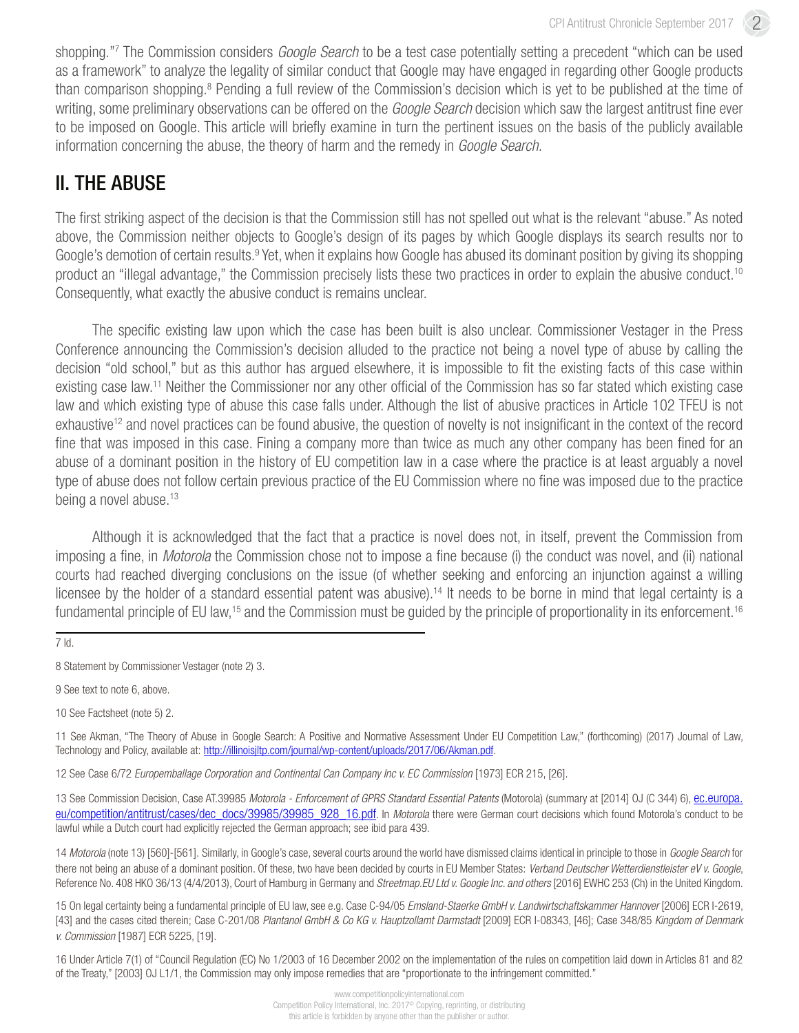shopping."7 The Commission considers *Google Search* to be a test case potentially setting a precedent "which can be used as a framework" to analyze the legality of similar conduct that Google may have engaged in regarding other Google products than comparison shopping.<sup>8</sup> Pending a full review of the Commission's decision which is yet to be published at the time of writing, some preliminary observations can be offered on the *Google Search* decision which saw the largest antitrust fine ever to be imposed on Google. This article will briefly examine in turn the pertinent issues on the basis of the publicly available information concerning the abuse, the theory of harm and the remedy in *Google Search.*

## II. THE ABUSE

The first striking aspect of the decision is that the Commission still has not spelled out what is the relevant "abuse." As noted above, the Commission neither objects to Google's design of its pages by which Google displays its search results nor to Google's demotion of certain results.<sup>9</sup> Yet, when it explains how Google has abused its dominant position by giving its shopping product an "illegal advantage," the Commission precisely lists these two practices in order to explain the abusive conduct.<sup>10</sup> Consequently, what exactly the abusive conduct is remains unclear.

The specific existing law upon which the case has been built is also unclear. Commissioner Vestager in the Press Conference announcing the Commission's decision alluded to the practice not being a novel type of abuse by calling the decision "old school," but as this author has argued elsewhere, it is impossible to fit the existing facts of this case within existing case law.<sup>11</sup> Neither the Commissioner nor any other official of the Commission has so far stated which existing case law and which existing type of abuse this case falls under. Although the list of abusive practices in Article 102 TFEU is not exhaustive<sup>12</sup> and novel practices can be found abusive, the question of novelty is not insignificant in the context of the record fine that was imposed in this case. Fining a company more than twice as much any other company has been fined for an abuse of a dominant position in the history of EU competition law in a case where the practice is at least arguably a novel type of abuse does not follow certain previous practice of the EU Commission where no fine was imposed due to the practice being a novel abuse.<sup>13</sup>

Although it is acknowledged that the fact that a practice is novel does not, in itself, prevent the Commission from imposing a fine, in *Motorola* the Commission chose not to impose a fine because (i) the conduct was novel, and (ii) national courts had reached diverging conclusions on the issue (of whether seeking and enforcing an injunction against a willing licensee by the holder of a standard essential patent was abusive).14 It needs to be borne in mind that legal certainty is a fundamental principle of EU law,<sup>15</sup> and the Commission must be quided by the principle of proportionality in its enforcement.<sup>16</sup>

9 See text to note 6, above.

10 See Factsheet (note 5) 2.

11 See Akman, "The Theory of Abuse in Google Search: A Positive and Normative Assessment Under EU Competition Law," (forthcoming) (2017) Journal of Law, Technology and Policy, available at:<http://illinoisjltp.com/journal/wp-content/uploads/2017/06/Akman.pdf>.

12 See Case 6/72 *Europemballage Corporation and Continental Can Company Inc v. EC Commission* [1973] ECR 215, [26].

13 See Commission Decision, Case AT.39985 *Motorola - Enforcement of GPRS Standard Essential Patents* (Motorola) (summary at [2014] OJ (C 344) 6), [ec.europa.](http://ec.europa.eu/competition/antitrust/cases/dec_docs/39985/39985_928_16.pdf) [eu/competition/antitrust/cases/dec\\_docs/39985/39985\\_928\\_16.pdf](http://ec.europa.eu/competition/antitrust/cases/dec_docs/39985/39985_928_16.pdf). In *Motorola* there were German court decisions which found Motorola's conduct to be lawful while a Dutch court had explicitly rejected the German approach; see ibid para 439.

14 *Motorola* (note 13) [560]-[561]. Similarly, in Google's case, several courts around the world have dismissed claims identical in principle to those in *Google Search* for there not being an abuse of a dominant position. Of these, two have been decided by courts in EU Member States: *Verband Deutscher Wetterdienstleister eV v. Google*, Reference No. 408 HKO 36/13 (4/4/2013), Court of Hamburg in Germany and *Streetmap.EU Ltd v. Google Inc. and others* [2016] EWHC 253 (Ch) in the United Kingdom.

15 On legal certainty being a fundamental principle of EU law, see e.g. Case C-94/05 *Emsland-Staerke GmbH v. Landwirtschaftskammer Hannover* [2006] ECR I-2619, [43] and the cases cited therein; Case C-201/08 *Plantanol GmbH & Co KG v. Hauptzollamt Darmstadt* [2009] ECR I-08343, [46]; Case 348/85 *Kingdom of Denmark v. Commission* [1987] ECR 5225, [19].

16 Under Article 7(1) of "Council Regulation (EC) No 1/2003 of 16 December 2002 on the implementation of the rules on competition laid down in Articles 81 and 82 of the Treaty," [2003] OJ L1/1, the Commission may only impose remedies that are "proportionate to the infringement committed."

<sup>7</sup> Id.

<sup>8</sup> Statement by Commissioner Vestager (note 2) 3.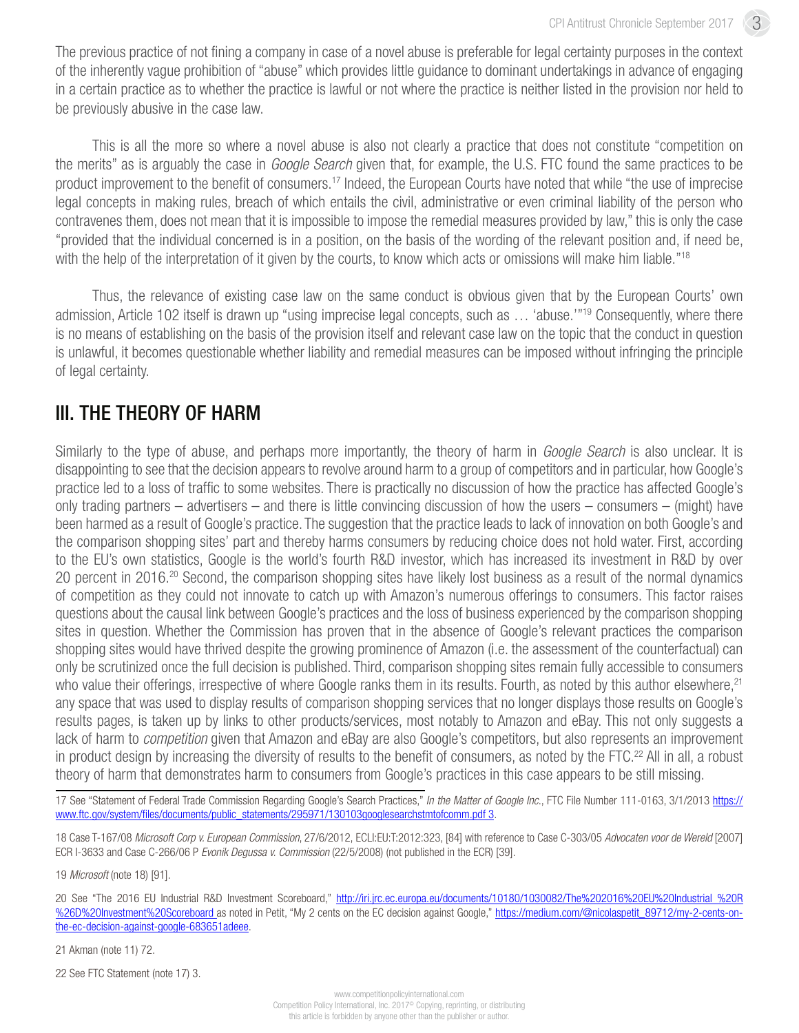The previous practice of not fining a company in case of a novel abuse is preferable for legal certainty purposes in the context of the inherently vague prohibition of "abuse" which provides little guidance to dominant undertakings in advance of engaging in a certain practice as to whether the practice is lawful or not where the practice is neither listed in the provision nor held to be previously abusive in the case law.

This is all the more so where a novel abuse is also not clearly a practice that does not constitute "competition on the merits" as is arguably the case in *Google Search* given that, for example, the U.S. FTC found the same practices to be product improvement to the benefit of consumers.17 Indeed, the European Courts have noted that while "the use of imprecise legal concepts in making rules, breach of which entails the civil, administrative or even criminal liability of the person who contravenes them, does not mean that it is impossible to impose the remedial measures provided by law," this is only the case "provided that the individual concerned is in a position, on the basis of the wording of the relevant position and, if need be, with the help of the interpretation of it given by the courts, to know which acts or omissions will make him liable."<sup>18</sup>

Thus, the relevance of existing case law on the same conduct is obvious given that by the European Courts' own admission, Article 102 itself is drawn up "using imprecise legal concepts, such as ... 'abuse.'"<sup>19</sup> Consequently, where there is no means of establishing on the basis of the provision itself and relevant case law on the topic that the conduct in question is unlawful, it becomes questionable whether liability and remedial measures can be imposed without infringing the principle of legal certainty.

#### III. THE THEORY OF HARM

Similarly to the type of abuse, and perhaps more importantly, the theory of harm in *Google Search* is also unclear. It is disappointing to see that the decision appears to revolve around harm to a group of competitors and in particular, how Google's practice led to a loss of traffic to some websites. There is practically no discussion of how the practice has affected Google's only trading partners – advertisers – and there is little convincing discussion of how the users – consumers – (might) have been harmed as a result of Google's practice. The suggestion that the practice leads to lack of innovation on both Google's and the comparison shopping sites' part and thereby harms consumers by reducing choice does not hold water. First, according to the EU's own statistics, Google is the world's fourth R&D investor, which has increased its investment in R&D by over 20 percent in 2016.<sup>20</sup> Second, the comparison shopping sites have likely lost business as a result of the normal dynamics of competition as they could not innovate to catch up with Amazon's numerous offerings to consumers. This factor raises questions about the causal link between Google's practices and the loss of business experienced by the comparison shopping sites in question. Whether the Commission has proven that in the absence of Google's relevant practices the comparison shopping sites would have thrived despite the growing prominence of Amazon (i.e. the assessment of the counterfactual) can only be scrutinized once the full decision is published. Third, comparison shopping sites remain fully accessible to consumers who value their offerings, irrespective of where Google ranks them in its results. Fourth, as noted by this author elsewhere,<sup>21</sup> any space that was used to display results of comparison shopping services that no longer displays those results on Google's results pages, is taken up by links to other products/services, most notably to Amazon and eBay. This not only suggests a lack of harm to *competition* given that Amazon and eBay are also Google's competitors, but also represents an improvement in product design by increasing the diversity of results to the benefit of consumers, as noted by the FTC.<sup>22</sup> All in all, a robust theory of harm that demonstrates harm to consumers from Google's practices in this case appears to be still missing.

17 See "Statement of Federal Trade Commission Regarding Google's Search Practices," *In the Matter of Google Inc*., FTC File Number 111-0163, 3/1/2013 [https://](https://www.ftc.gov/system/files/documents/public_statements/295971/130103googlesearchstmtofcomm.pdf) [www.ftc.gov/system/files/documents/public\\_statements/295971/130103googlesearchstmtofcomm.pdf](https://www.ftc.gov/system/files/documents/public_statements/295971/130103googlesearchstmtofcomm.pdf) 3.

18 Case T-167/08 *Microsoft Corp v. European Commission*, 27/6/2012, ECLI:EU:T:2012:323, [84] with reference to Case C-303/05 *Advocaten voor de Wereld* [2007] ECR I-3633 and Case C-266/06 P *Evonik Degussa v. Commission* (22/5/2008) (not published in the ECR) [39].

19 *Microsoft* (note 18) [91].

21 Akman (note 11) 72.

22 See FTC Statement (note 17) 3.

<sup>20</sup> See "The 2016 EU Industrial R&D Investment Scoreboard," [http://iri.jrc.ec.europa.eu/documents/10180/1030082/The%202016%20EU%20Industrial %20R](http://iri.jrc.ec.europa.eu/documents/10180/1030082/The 2016 EU Industrial  R %26D Investment Scoreboard) [%26D%20Investment%20Scoreboard](http://iri.jrc.ec.europa.eu/documents/10180/1030082/The 2016 EU Industrial  R %26D Investment Scoreboard) as noted in Petit, "My 2 cents on the EC decision against Google," [https://medium.com/@nicolaspetit\\_89712/my-2-cents-on](https://medium.com/@nicolaspetit_89712/my-2-cents-on-the-ec-decision-against-google-683651adeee)[the-ec-decision-against-google-683651adeee.](https://medium.com/@nicolaspetit_89712/my-2-cents-on-the-ec-decision-against-google-683651adeee)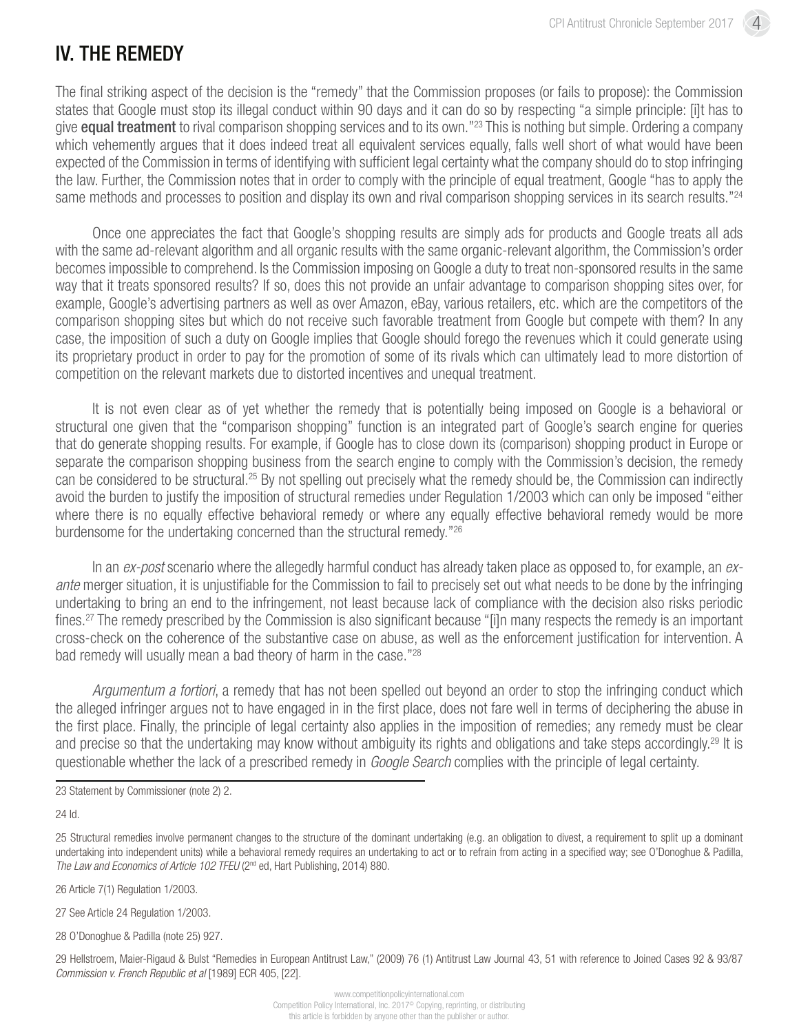## IV. THE REMEDY

The final striking aspect of the decision is the "remedy" that the Commission proposes (or fails to propose): the Commission states that Google must stop its illegal conduct within 90 days and it can do so by respecting "a simple principle: [i]t has to give **equal treatment** to rival comparison shopping services and to its own."<sup>23</sup> This is nothing but simple. Ordering a company which vehemently argues that it does indeed treat all equivalent services equally, falls well short of what would have been expected of the Commission in terms of identifying with sufficient legal certainty what the company should do to stop infringing the law. Further, the Commission notes that in order to comply with the principle of equal treatment, Google "has to apply the same methods and processes to position and display its own and rival comparison shopping services in its search results."<sup>24</sup>

Once one appreciates the fact that Google's shopping results are simply ads for products and Google treats all ads with the same ad-relevant algorithm and all organic results with the same organic-relevant algorithm, the Commission's order becomes impossible to comprehend. Is the Commission imposing on Google a duty to treat non-sponsored results in the same way that it treats sponsored results? If so, does this not provide an unfair advantage to comparison shopping sites over, for example, Google's advertising partners as well as over Amazon, eBay, various retailers, etc. which are the competitors of the comparison shopping sites but which do not receive such favorable treatment from Google but compete with them? In any case, the imposition of such a duty on Google implies that Google should forego the revenues which it could generate using its proprietary product in order to pay for the promotion of some of its rivals which can ultimately lead to more distortion of competition on the relevant markets due to distorted incentives and unequal treatment.

It is not even clear as of yet whether the remedy that is potentially being imposed on Google is a behavioral or structural one given that the "comparison shopping" function is an integrated part of Google's search engine for queries that do generate shopping results. For example, if Google has to close down its (comparison) shopping product in Europe or separate the comparison shopping business from the search engine to comply with the Commission's decision, the remedy can be considered to be structural.25 By not spelling out precisely what the remedy should be, the Commission can indirectly avoid the burden to justify the imposition of structural remedies under Regulation 1/2003 which can only be imposed "either where there is no equally effective behavioral remedy or where any equally effective behavioral remedy would be more burdensome for the undertaking concerned than the structural remedy."26

In an *ex-post* scenario where the allegedly harmful conduct has already taken place as opposed to, for example, an *exante* merger situation, it is unjustifiable for the Commission to fail to precisely set out what needs to be done by the infringing undertaking to bring an end to the infringement, not least because lack of compliance with the decision also risks periodic fines.27 The remedy prescribed by the Commission is also significant because "[i]n many respects the remedy is an important cross-check on the coherence of the substantive case on abuse, as well as the enforcement justification for intervention. A bad remedy will usually mean a bad theory of harm in the case."28

*Argumentum a fortiori*, a remedy that has not been spelled out beyond an order to stop the infringing conduct which the alleged infringer argues not to have engaged in in the first place, does not fare well in terms of deciphering the abuse in the first place. Finally, the principle of legal certainty also applies in the imposition of remedies; any remedy must be clear and precise so that the undertaking may know without ambiguity its rights and obligations and take steps accordingly.<sup>29</sup> It is questionable whether the lack of a prescribed remedy in *Google Search* complies with the principle of legal certainty.

24 Id.

26 Article 7(1) Regulation 1/2003.

27 See Article 24 Regulation 1/2003.

29 Hellstroem, Maier-Rigaud & Bulst "Remedies in European Antitrust Law," (2009) 76 (1) Antitrust Law Journal 43, 51 with reference to Joined Cases 92 & 93/87 *Commission v. French Republic et al* [1989] ECR 405, [22].

<sup>23</sup> Statement by Commissioner (note 2) 2.

<sup>25</sup> Structural remedies involve permanent changes to the structure of the dominant undertaking (e.g. an obligation to divest, a requirement to split up a dominant undertaking into independent units) while a behavioral remedy requires an undertaking to act or to refrain from acting in a specified way; see O'Donoghue & Padilla, *The Law and Economics of Article 102 TFEU* (2nd ed, Hart Publishing, 2014) 880.

<sup>28</sup> O'Donoghue & Padilla (note 25) 927.